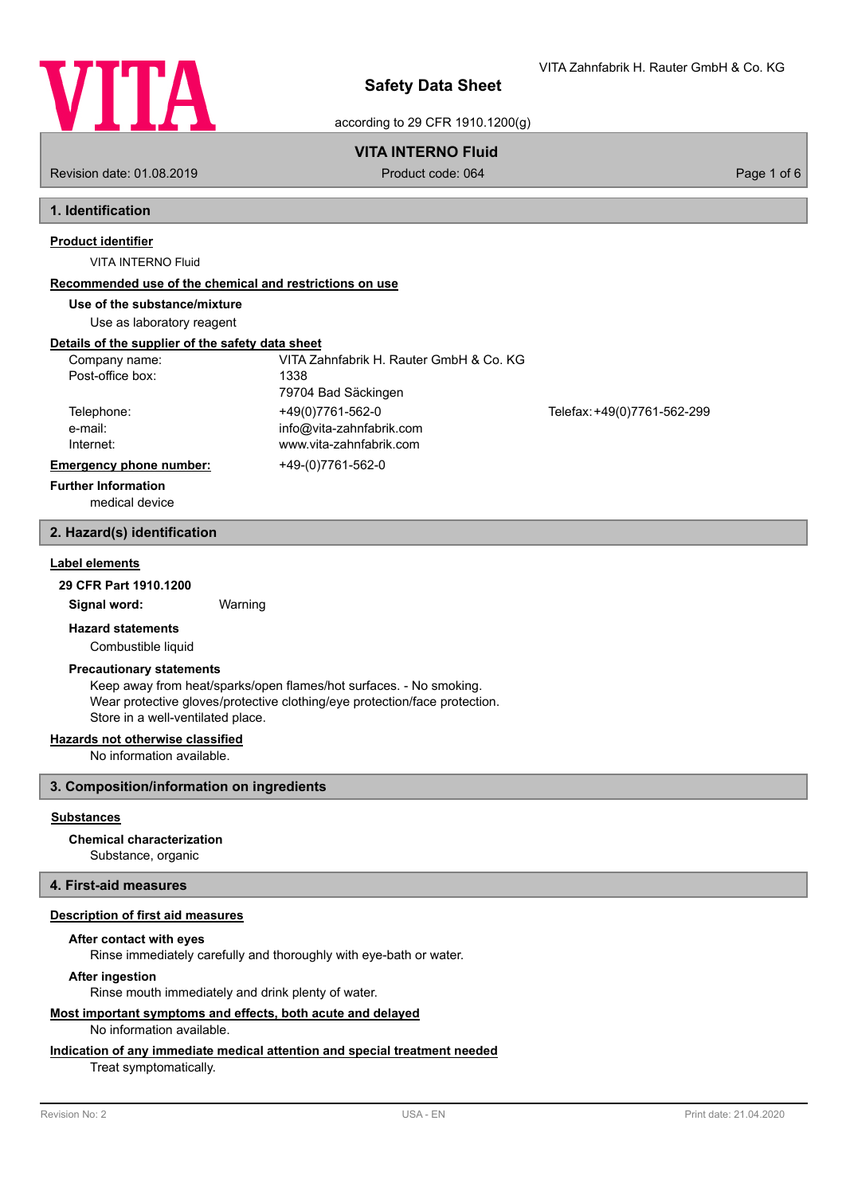

VITA Zahnfabrik H. Rauter GmbH & Co. KG

according to 29 CFR 1910.1200(g)

# **VITA INTERNO Fluid**

Revision date: 01.08.2019 **Product code: 064** Product code: 064 Page 1 of 6

# **1. Identification**

# **Product identifier**

VITA INTERNO Fluid

# **Recommended use of the chemical and restrictions on use**

# **Use of the substance/mixture**

Use as laboratory reagent

# **Details of the supplier of the safety data sheet**

| Company name:                  | VITA Zahnfabrik H. Rauter GmbH & Co. KG |                             |
|--------------------------------|-----------------------------------------|-----------------------------|
| Post-office box:               | 1338                                    |                             |
|                                | 79704 Bad Säckingen                     |                             |
| Telephone:                     | +49(0)7761-562-0                        | Telefax: +49(0)7761-562-299 |
| e-mail:                        | info@vita-zahnfabrik.com                |                             |
| Internet:                      | www.vita-zahnfabrik.com                 |                             |
| <b>Emergency phone number:</b> | +49-(0)7761-562-0                       |                             |
| <b>Further Information</b>     |                                         |                             |

medical device

### **2. Hazard(s) identification**

## **Label elements**

**29 CFR Part 1910.1200**

**Signal word:** Warning

## **Hazard statements**

Combustible liquid

### **Precautionary statements**

Keep away from heat/sparks/open flames/hot surfaces. - No smoking. Wear protective gloves/protective clothing/eye protection/face protection. Store in a well-ventilated place.

## **Hazards not otherwise classified**

No information available.

## **3. Composition/information on ingredients**

### **Substances**

**Chemical characterization**

Substance, organic

# **4. First-aid measures**

#### **Description of first aid measures**

### **After contact with eyes**

Rinse immediately carefully and thoroughly with eye-bath or water.

### **After ingestion**

Rinse mouth immediately and drink plenty of water.

# **Most important symptoms and effects, both acute and delayed**

No information available.

# **Indication of any immediate medical attention and special treatment needed**

Treat symptomatically.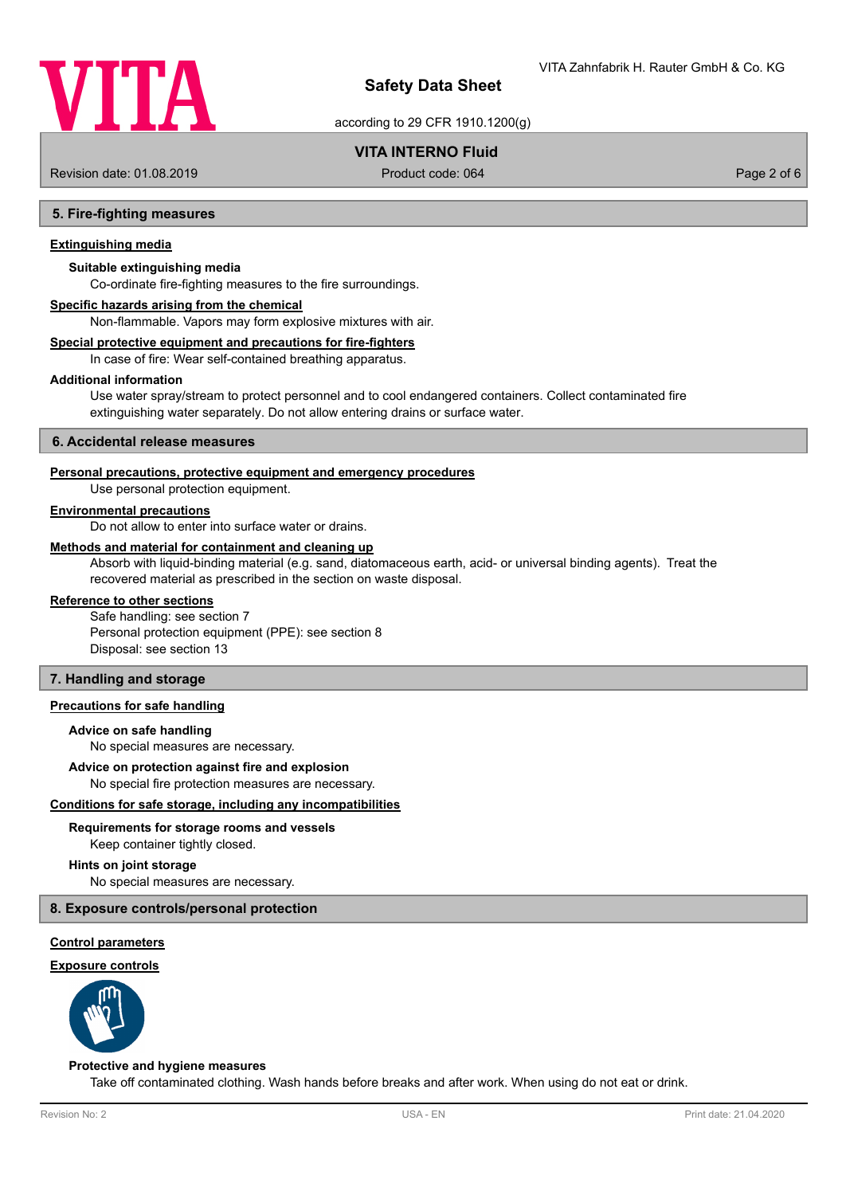

according to 29 CFR 1910.1200(g)

## **VITA INTERNO Fluid**

Revision date: 01.08.2019 Product code: 064 Page 2 of 6

### **5. Fire-fighting measures**

### **Extinguishing media**

### **Suitable extinguishing media**

Co-ordinate fire-fighting measures to the fire surroundings.

#### **Specific hazards arising from the chemical**

Non-flammable. Vapors may form explosive mixtures with air.

### **Special protective equipment and precautions for fire-fighters**

In case of fire: Wear self-contained breathing apparatus.

#### **Additional information**

Use water spray/stream to protect personnel and to cool endangered containers. Collect contaminated fire extinguishing water separately. Do not allow entering drains or surface water.

#### **6. Accidental release measures**

### **Personal precautions, protective equipment and emergency procedures**

Use personal protection equipment.

#### **Environmental precautions**

Do not allow to enter into surface water or drains.

#### **Methods and material for containment and cleaning up**

Absorb with liquid-binding material (e.g. sand, diatomaceous earth, acid- or universal binding agents). Treat the recovered material as prescribed in the section on waste disposal.

#### **Reference to other sections**

Safe handling: see section 7 Personal protection equipment (PPE): see section 8 Disposal: see section 13

### **7. Handling and storage**

### **Precautions for safe handling**

#### **Advice on safe handling**

No special measures are necessary.

#### **Advice on protection against fire and explosion**

No special fire protection measures are necessary.

#### **Conditions for safe storage, including any incompatibilities**

# **Requirements for storage rooms and vessels**

Keep container tightly closed.

### **Hints on joint storage**

No special measures are necessary.

### **8. Exposure controls/personal protection**

#### **Control parameters**

#### **Exposure controls**



#### **Protective and hygiene measures**

Take off contaminated clothing. Wash hands before breaks and after work. When using do not eat or drink.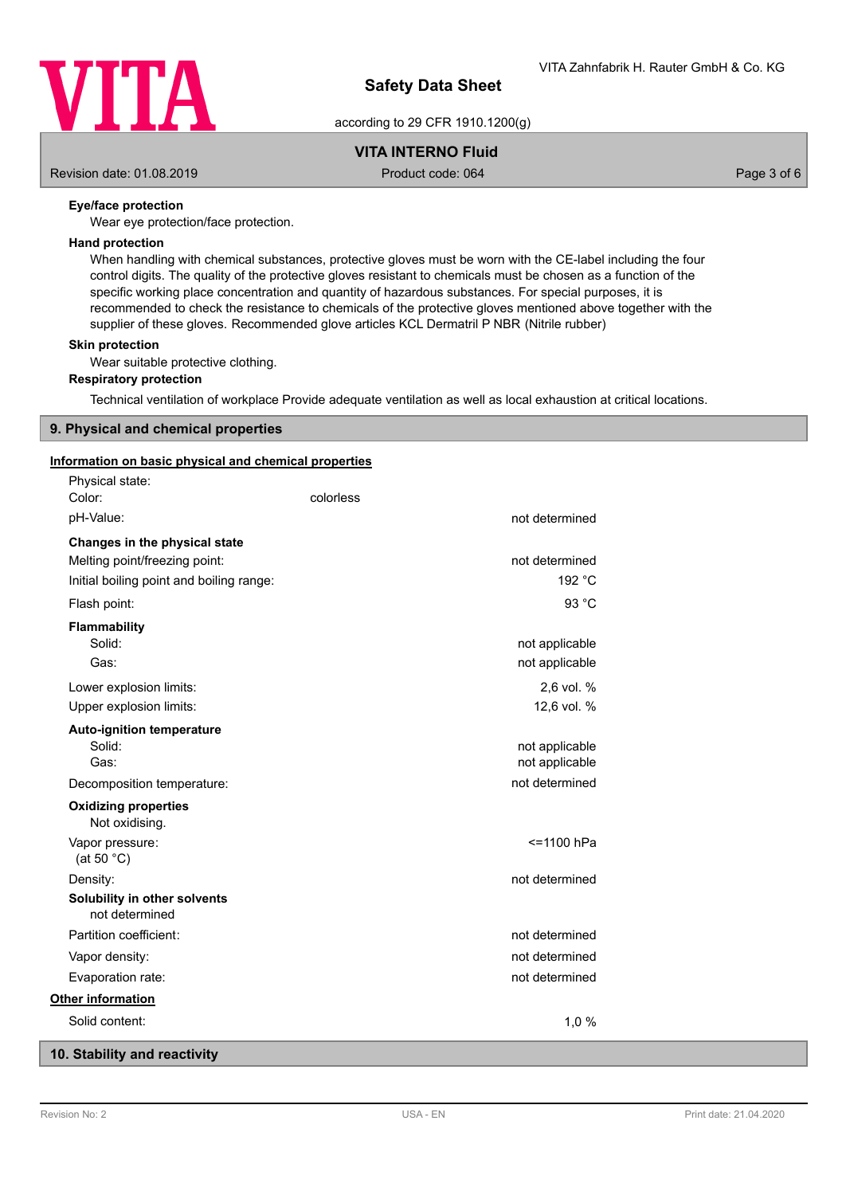

according to 29 CFR 1910.1200(g)

# **VITA INTERNO Fluid**

Revision date: 01.08.2019 Product code: 064 Page 3 of 6

## **Eye/face protection**

Wear eye protection/face protection.

### **Hand protection**

When handling with chemical substances, protective gloves must be worn with the CE-label including the four control digits. The quality of the protective gloves resistant to chemicals must be chosen as a function of the specific working place concentration and quantity of hazardous substances. For special purposes, it is recommended to check the resistance to chemicals of the protective gloves mentioned above together with the supplier of these gloves. Recommended glove articles KCL Dermatril P NBR (Nitrile rubber)

#### **Skin protection**

Wear suitable protective clothing.

### **Respiratory protection**

Technical ventilation of workplace Provide adequate ventilation as well as local exhaustion at critical locations.

### **9. Physical and chemical properties**

### **Information on basic physical and chemical properties**

| Physical state:<br>Color:                      | colorless |                |
|------------------------------------------------|-----------|----------------|
| pH-Value:                                      |           | not determined |
| Changes in the physical state                  |           |                |
| Melting point/freezing point:                  |           | not determined |
| Initial boiling point and boiling range:       |           | 192 °C         |
| Flash point:                                   |           | 93 °C          |
| <b>Flammability</b>                            |           |                |
| Solid:                                         |           | not applicable |
| Gas:                                           |           | not applicable |
| Lower explosion limits:                        |           | 2,6 vol. %     |
| Upper explosion limits:                        |           | 12,6 vol. %    |
| <b>Auto-ignition temperature</b>               |           |                |
| Solid:                                         |           | not applicable |
| Gas:                                           |           | not applicable |
| Decomposition temperature:                     |           | not determined |
| <b>Oxidizing properties</b><br>Not oxidising.  |           |                |
| Vapor pressure:<br>(at 50 $°C$ )               |           | <=1100 hPa     |
| Density:                                       |           | not determined |
| Solubility in other solvents<br>not determined |           |                |
| Partition coefficient:                         |           | not determined |
| Vapor density:                                 |           | not determined |
| Evaporation rate:                              |           | not determined |
| Other information                              |           |                |
| Solid content:                                 |           | 1,0%           |
|                                                |           |                |

## **10. Stability and reactivity**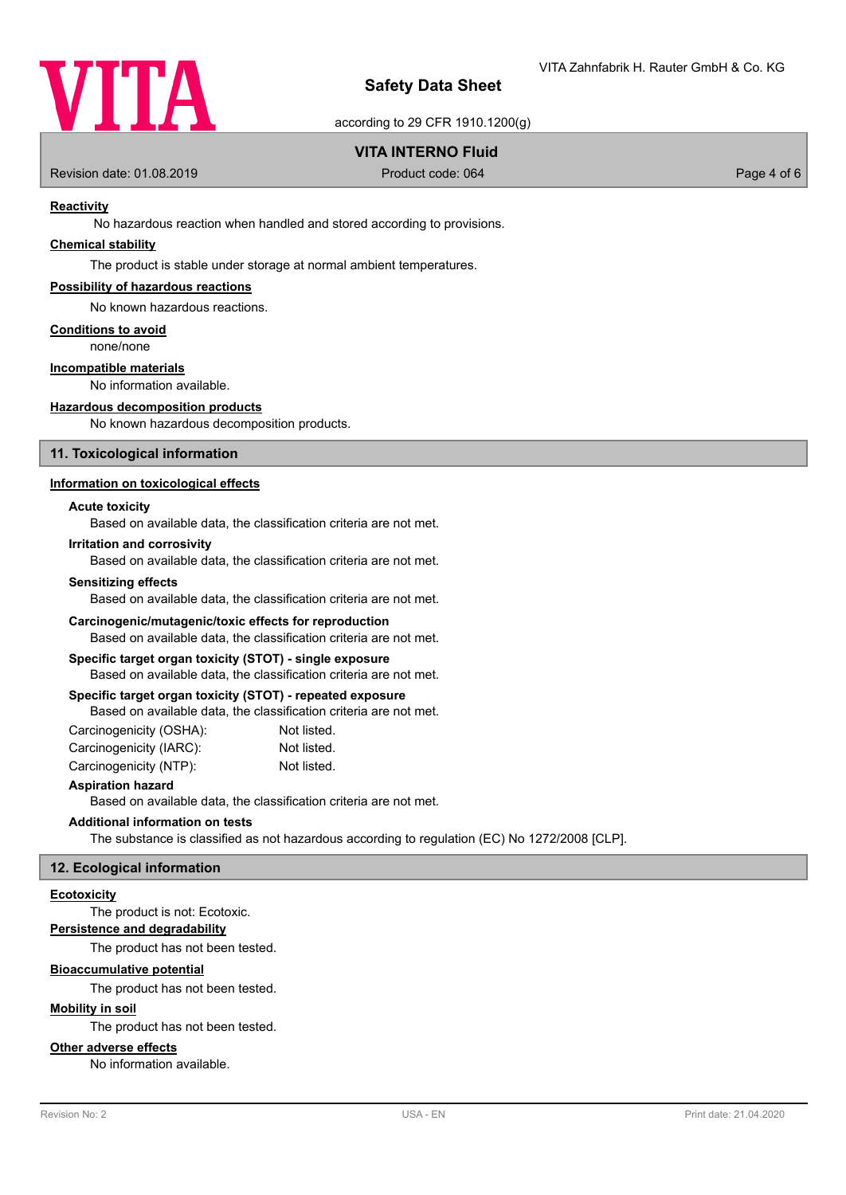

according to 29 CFR 1910.1200(g)

## **VITA INTERNO Fluid**

Revision date: 01.08.2019 **Product code: 064** Product code: 064 **Page 4 of 6** Page 4 of 6

### **Reactivity**

No hazardous reaction when handled and stored according to provisions.

### **Chemical stability**

The product is stable under storage at normal ambient temperatures.

### **Possibility of hazardous reactions**

No known hazardous reactions.

#### **Conditions to avoid**

none/none

### **Incompatible materials**

No information available.

### **Hazardous decomposition products**

No known hazardous decomposition products.

### **11. Toxicological information**

### **Information on toxicological effects**

### **Acute toxicity**

Based on available data, the classification criteria are not met.

#### **Irritation and corrosivity**

Based on available data, the classification criteria are not met.

#### **Sensitizing effects**

Based on available data, the classification criteria are not met.

### **Carcinogenic/mutagenic/toxic effects for reproduction**

Based on available data, the classification criteria are not met.

# **Specific target organ toxicity (STOT) - single exposure**

Based on available data, the classification criteria are not met.

## **Specific target organ toxicity (STOT) - repeated exposure**

Based on available data, the classification criteria are not met.

| Carcinogenicity (OSHA): | Not listed. |
|-------------------------|-------------|
| Carcinogenicity (IARC): | Not listed. |
| Carcinogenicity (NTP):  | Not listed. |

### **Aspiration hazard**

Based on available data, the classification criteria are not met.

## **Additional information on tests**

The substance is classified as not hazardous according to regulation (EC) No 1272/2008 [CLP].

### **12. Ecological information**

### **Ecotoxicity**

The product is not: Ecotoxic.

### **Persistence and degradability**

The product has not been tested.

### **Bioaccumulative potential**

The product has not been tested.

### **Mobility in soil**

The product has not been tested.

### **Other adverse effects**

No information available.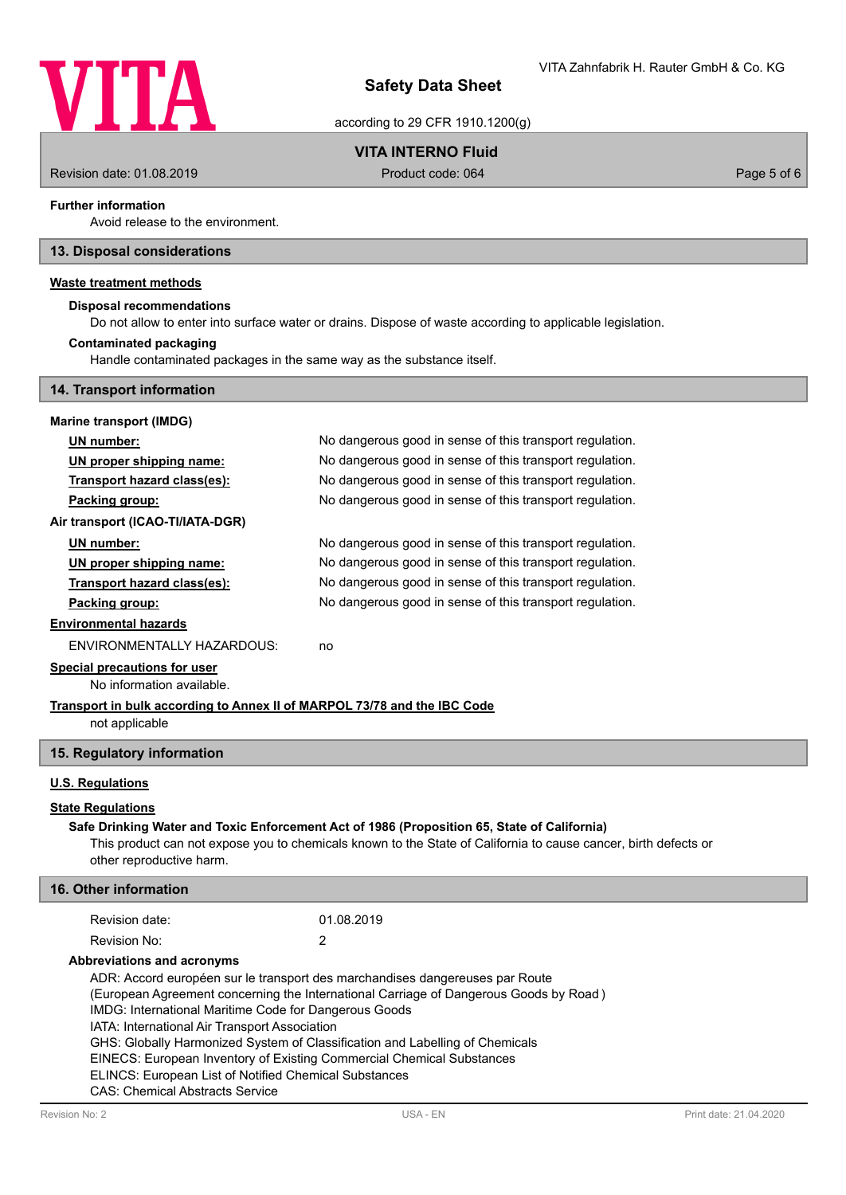

according to 29 CFR 1910.1200(g)

# **VITA INTERNO Fluid**

Revision date: 01.08.2019 **Product code: 064** Product code: 064 **Page 5 of 6** Page 5 of 6

### **Further information**

Avoid release to the environment.

### **13. Disposal considerations**

## **Waste treatment methods**

### **Disposal recommendations**

Do not allow to enter into surface water or drains. Dispose of waste according to applicable legislation.

#### Handle contaminated packages in the same way as the substance itself. **Contaminated packaging**

**14. Transport information Marine transport (IMDG) UN number:** No dangerous good in sense of this transport regulation. **UN proper shipping name:** No dangerous good in sense of this transport regulation. **Transport hazard class(es):** No dangerous good in sense of this transport regulation. **Packing group:** No dangerous good in sense of this transport regulation. **Air transport (ICAO-TI/IATA-DGR)**

| UN number:                  | No dangerous good in sense of this transport regulation. |
|-----------------------------|----------------------------------------------------------|
| UN proper shipping name:    | No dangerous good in sense of this transport regulation. |
| Transport hazard class(es): | No dangerous good in sense of this transport regulation. |
| Packing group:              | No dangerous good in sense of this transport regulation. |
|                             |                                                          |

#### **Environmental hazards**

ENVIRONMENTALLY HAZARDOUS: no

# **Special precautions for user**

No information available.

#### **Transport in bulk according to Annex II of MARPOL 73/78 and the IBC Code**

not applicable

### **15. Regulatory information**

### **U.S. Regulations**

### **State Regulations**

### This product can not expose you to chemicals known to the State of California to cause cancer, birth defects or **Safe Drinking Water and Toxic Enforcement Act of 1986 (Proposition 65, State of California)**

other reproductive harm.

|  | <b>16. Other information</b> |  |
|--|------------------------------|--|
|  |                              |  |

| Revision date: | 01.08.2019 |
|----------------|------------|
| Revision No:   |            |

### **Abbreviations and acronyms**

ADR: Accord européen sur le transport des marchandises dangereuses par Route

(European Agreement concerning the International Carriage of Dangerous Goods by Road )

IMDG: International Maritime Code for Dangerous Goods

IATA: International Air Transport Association

GHS: Globally Harmonized System of Classification and Labelling of Chemicals

EINECS: European Inventory of Existing Commercial Chemical Substances

ELINCS: European List of Notified Chemical Substances

CAS: Chemical Abstracts Service